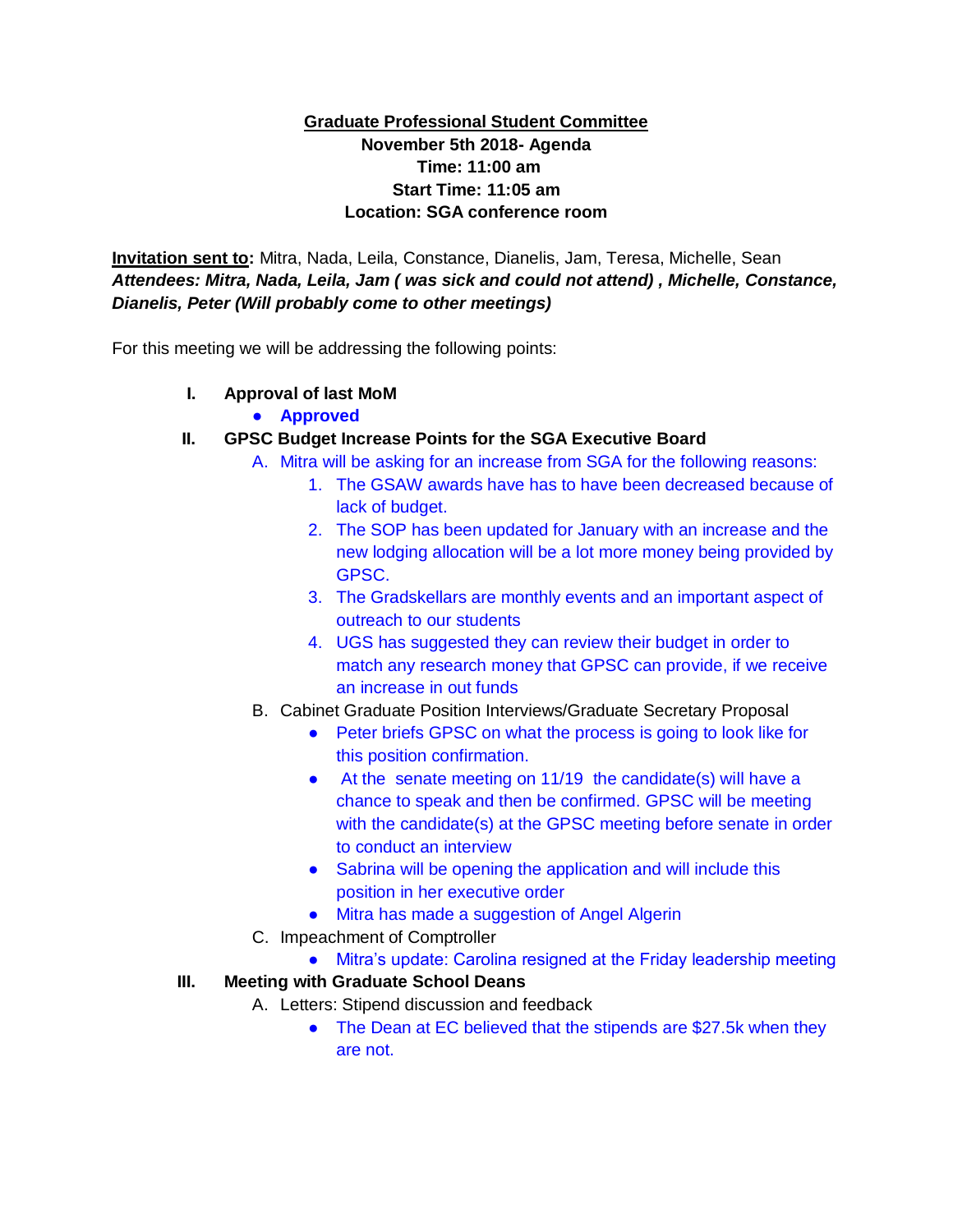## **Graduate Professional Student Committee November 5th 2018- Agenda Time: 11:00 am Start Time: 11:05 am Location: SGA conference room**

**Invitation sent to:** Mitra, Nada, Leila, Constance, Dianelis, Jam, Teresa, Michelle, Sean *Attendees: Mitra, Nada, Leila, Jam ( was sick and could not attend) , Michelle, Constance, Dianelis, Peter (Will probably come to other meetings)*

For this meeting we will be addressing the following points:

- **I. Approval of last MoM**
	- **Approved**
- **II. GPSC Budget Increase Points for the SGA Executive Board**
	- A. Mitra will be asking for an increase from SGA for the following reasons:
		- 1. The GSAW awards have has to have been decreased because of lack of budget.
		- 2. The SOP has been updated for January with an increase and the new lodging allocation will be a lot more money being provided by GPSC.
		- 3. The Gradskellars are monthly events and an important aspect of outreach to our students
		- 4. UGS has suggested they can review their budget in order to match any research money that GPSC can provide, if we receive an increase in out funds
	- B. Cabinet Graduate Position Interviews/Graduate Secretary Proposal
		- Peter briefs GPSC on what the process is going to look like for this position confirmation.
		- At the senate meeting on 11/19 the candidate(s) will have a chance to speak and then be confirmed. GPSC will be meeting with the candidate(s) at the GPSC meeting before senate in order to conduct an interview
		- Sabrina will be opening the application and will include this position in her executive order
		- Mitra has made a suggestion of Angel Algerin
	- C. Impeachment of Comptroller
		- Mitra's update: Carolina resigned at the Friday leadership meeting

## **III. Meeting with Graduate School Deans**

- A. Letters: Stipend discussion and feedback
	- The Dean at EC believed that the stipends are \$27.5k when they are not.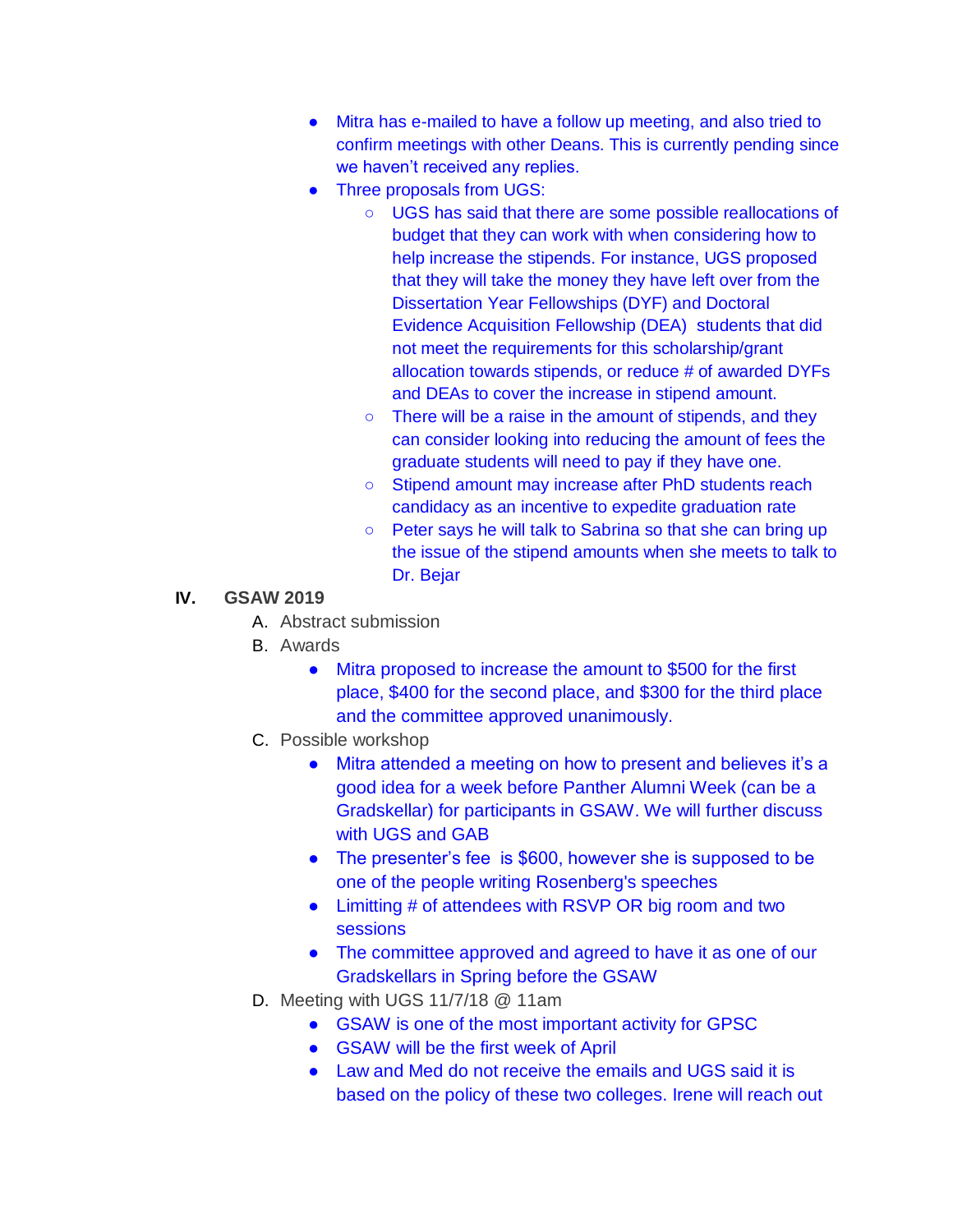- Mitra has e-mailed to have a follow up meeting, and also tried to confirm meetings with other Deans. This is currently pending since we haven't received any replies.
- Three proposals from UGS:
	- UGS has said that there are some possible reallocations of budget that they can work with when considering how to help increase the stipends. For instance, UGS proposed that they will take the money they have left over from the Dissertation Year Fellowships (DYF) and Doctoral Evidence Acquisition Fellowship (DEA) students that did not meet the requirements for this scholarship/grant allocation towards stipends, or reduce # of awarded DYFs and DEAs to cover the increase in stipend amount.
	- There will be a raise in the amount of stipends, and they can consider looking into reducing the amount of fees the graduate students will need to pay if they have one.
	- Stipend amount may increase after PhD students reach candidacy as an incentive to expedite graduation rate
	- Peter says he will talk to Sabrina so that she can bring up the issue of the stipend amounts when she meets to talk to Dr. Bejar

## **IV. GSAW 2019**

- A. Abstract submission
- B. Awards
	- Mitra proposed to increase the amount to \$500 for the first place, \$400 for the second place, and \$300 for the third place and the committee approved unanimously.
- C. Possible workshop
	- Mitra attended a meeting on how to present and believes it's a good idea for a week before Panther Alumni Week (can be a Gradskellar) for participants in GSAW. We will further discuss with UGS and GAB
	- The presenter's fee is \$600, however she is supposed to be one of the people writing Rosenberg's speeches
	- Limitting # of attendees with RSVP OR big room and two sessions
	- The committee approved and agreed to have it as one of our Gradskellars in Spring before the GSAW
- D. Meeting with UGS 11/7/18 @ 11am
	- GSAW is one of the most important activity for GPSC
	- GSAW will be the first week of April
	- Law and Med do not receive the emails and UGS said it is based on the policy of these two colleges. Irene will reach out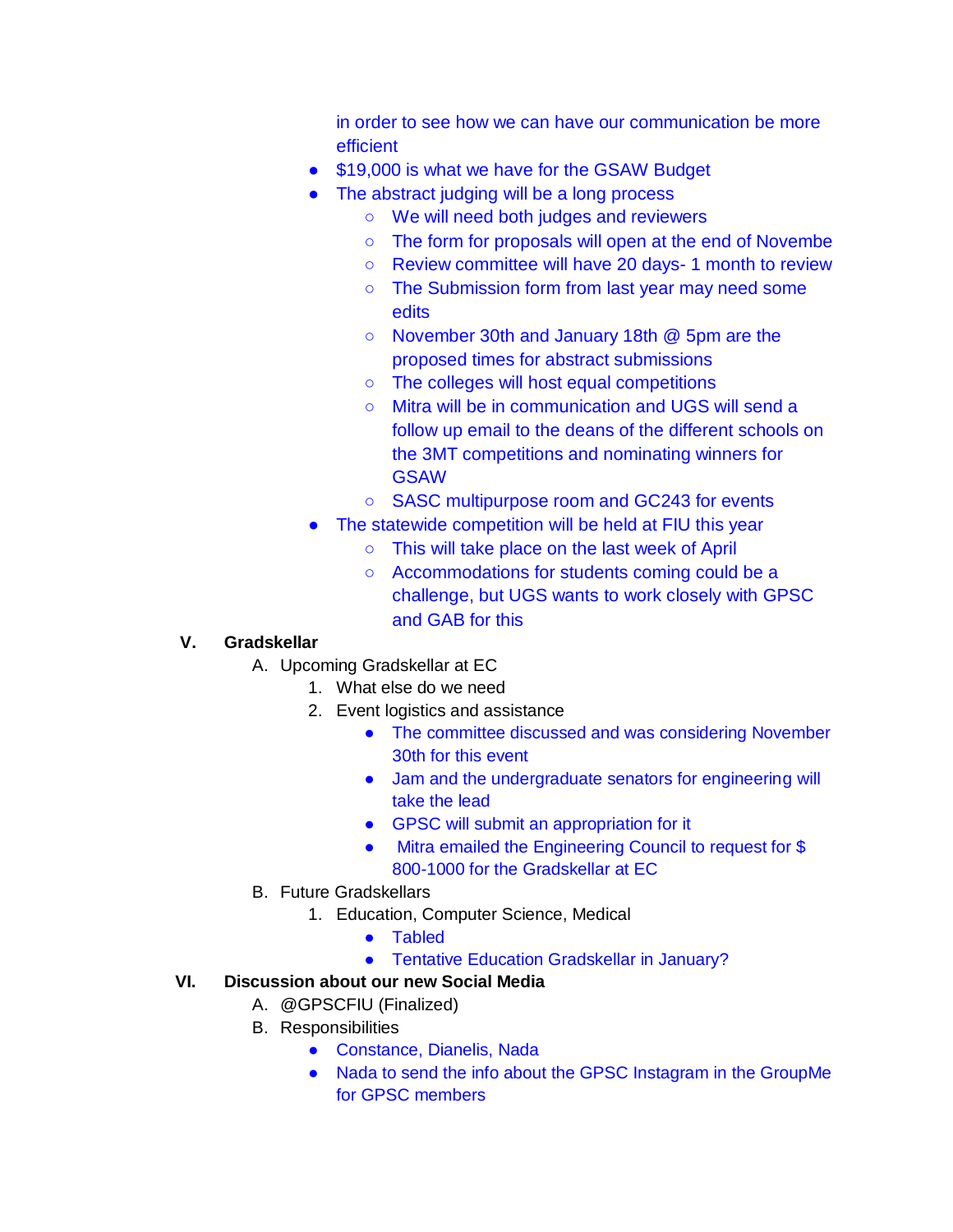in order to see how we can have our communication be more efficient

- \$19,000 is what we have for the GSAW Budget
- The abstract judging will be a long process
	- We will need both judges and reviewers
	- The form for proposals will open at the end of Novembe
	- Review committee will have 20 days- 1 month to review
	- The Submission form from last year may need some edits
	- November 30th and January 18th @ 5pm are the proposed times for abstract submissions
	- The colleges will host equal competitions
	- Mitra will be in communication and UGS will send a follow up email to the deans of the different schools on the 3MT competitions and nominating winners for **GSAW**
	- SASC multipurpose room and GC243 for events
- The statewide competition will be held at FIU this year
	- This will take place on the last week of April
	- Accommodations for students coming could be a challenge, but UGS wants to work closely with GPSC and GAB for this

# **V. Gradskellar**

- A. Upcoming Gradskellar at EC
	- 1. What else do we need
	- 2. Event logistics and assistance
		- The committee discussed and was considering November 30th for this event
		- Jam and the undergraduate senators for engineering will take the lead
		- GPSC will submit an appropriation for it
		- Mitra emailed the Engineering Council to request for \$ 800-1000 for the Gradskellar at EC
- B. Future Gradskellars
	- 1. Education, Computer Science, Medical
		- Tabled
		- Tentative Education Gradskellar in January?

# **VI. Discussion about our new Social Media**

- A. @GPSCFIU (Finalized)
- B. Responsibilities
	- Constance, Dianelis, Nada
	- Nada to send the info about the GPSC Instagram in the GroupMe for GPSC members